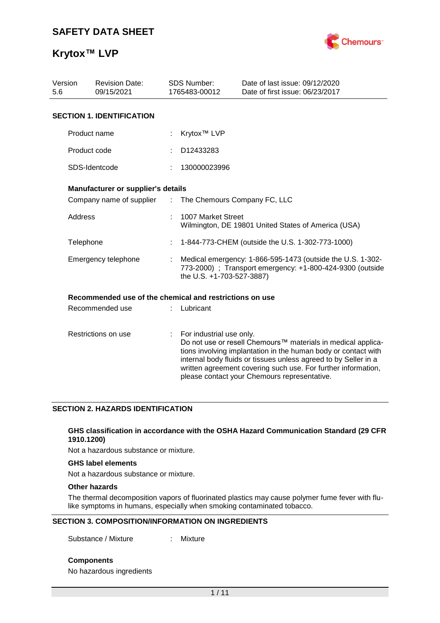

| Version<br><b>Revision Date:</b><br>09/15/2021<br>5.6 |                                                         |                          | <b>SDS Number:</b><br>1765483-00012                                                                                                                  | Date of last issue: 09/12/2020<br>Date of first issue: 06/23/2017                                                                                                                                                                                                                                                  |  |  |
|-------------------------------------------------------|---------------------------------------------------------|--------------------------|------------------------------------------------------------------------------------------------------------------------------------------------------|--------------------------------------------------------------------------------------------------------------------------------------------------------------------------------------------------------------------------------------------------------------------------------------------------------------------|--|--|
|                                                       | <b>SECTION 1. IDENTIFICATION</b>                        |                          |                                                                                                                                                      |                                                                                                                                                                                                                                                                                                                    |  |  |
|                                                       | Product name                                            |                          | Krytox <sup>™</sup> LVP                                                                                                                              |                                                                                                                                                                                                                                                                                                                    |  |  |
|                                                       | Product code                                            |                          | D12433283                                                                                                                                            |                                                                                                                                                                                                                                                                                                                    |  |  |
|                                                       | SDS-Identcode                                           |                          | 130000023996                                                                                                                                         |                                                                                                                                                                                                                                                                                                                    |  |  |
|                                                       | Manufacturer or supplier's details                      |                          |                                                                                                                                                      |                                                                                                                                                                                                                                                                                                                    |  |  |
|                                                       | Company name of supplier                                | ÷.                       | The Chemours Company FC, LLC                                                                                                                         |                                                                                                                                                                                                                                                                                                                    |  |  |
| <b>Address</b>                                        |                                                         |                          | 1007 Market Street<br>Wilmington, DE 19801 United States of America (USA)                                                                            |                                                                                                                                                                                                                                                                                                                    |  |  |
|                                                       | Telephone                                               |                          | 1-844-773-CHEM (outside the U.S. 1-302-773-1000)                                                                                                     |                                                                                                                                                                                                                                                                                                                    |  |  |
|                                                       | Emergency telephone                                     |                          | Medical emergency: 1-866-595-1473 (outside the U.S. 1-302-<br>773-2000) ; Transport emergency: +1-800-424-9300 (outside<br>the U.S. +1-703-527-3887) |                                                                                                                                                                                                                                                                                                                    |  |  |
|                                                       | Recommended use of the chemical and restrictions on use |                          |                                                                                                                                                      |                                                                                                                                                                                                                                                                                                                    |  |  |
|                                                       | Recommended use                                         |                          | Lubricant                                                                                                                                            |                                                                                                                                                                                                                                                                                                                    |  |  |
| Restrictions on use                                   |                                                         | For industrial use only. |                                                                                                                                                      | Do not use or resell Chemours™ materials in medical applica-<br>tions involving implantation in the human body or contact with<br>internal body fluids or tissues unless agreed to by Seller in a<br>written agreement covering such use. For further information,<br>please contact your Chemours representative. |  |  |

## **SECTION 2. HAZARDS IDENTIFICATION**

### **GHS classification in accordance with the OSHA Hazard Communication Standard (29 CFR 1910.1200)**

Not a hazardous substance or mixture.

#### **GHS label elements**

Not a hazardous substance or mixture.

## **Other hazards**

The thermal decomposition vapors of fluorinated plastics may cause polymer fume fever with flulike symptoms in humans, especially when smoking contaminated tobacco.

### **SECTION 3. COMPOSITION/INFORMATION ON INGREDIENTS**

Substance / Mixture : Mixture

**Components**

No hazardous ingredients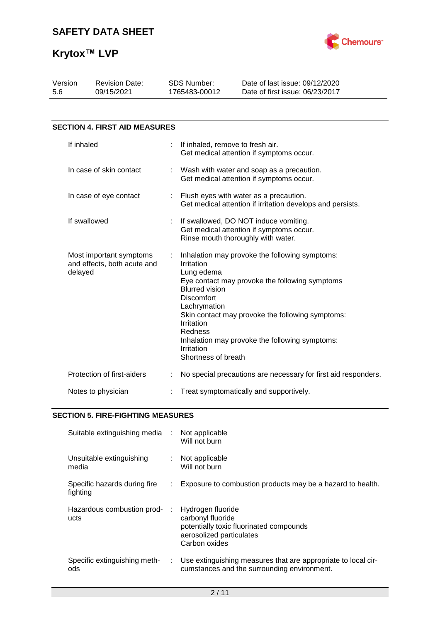

| Version<br>5.6                                                    | <b>Revision Date:</b><br>SDS Number:<br>09/15/2021<br>1765483-00012 |  | Date of last issue: 09/12/2020<br>Date of first issue: 06/23/2017                                                                                                                                                                                                                                                                                       |  |  |  |
|-------------------------------------------------------------------|---------------------------------------------------------------------|--|---------------------------------------------------------------------------------------------------------------------------------------------------------------------------------------------------------------------------------------------------------------------------------------------------------------------------------------------------------|--|--|--|
|                                                                   |                                                                     |  |                                                                                                                                                                                                                                                                                                                                                         |  |  |  |
|                                                                   | <b>SECTION 4. FIRST AID MEASURES</b>                                |  |                                                                                                                                                                                                                                                                                                                                                         |  |  |  |
| If inhaled                                                        |                                                                     |  | If inhaled, remove to fresh air.<br>Get medical attention if symptoms occur.                                                                                                                                                                                                                                                                            |  |  |  |
| In case of skin contact                                           |                                                                     |  | Wash with water and soap as a precaution.<br>Get medical attention if symptoms occur.                                                                                                                                                                                                                                                                   |  |  |  |
| In case of eye contact                                            |                                                                     |  | Flush eyes with water as a precaution.<br>Get medical attention if irritation develops and persists.                                                                                                                                                                                                                                                    |  |  |  |
| If swallowed                                                      |                                                                     |  | If swallowed, DO NOT induce vomiting.<br>Get medical attention if symptoms occur.<br>Rinse mouth thoroughly with water.                                                                                                                                                                                                                                 |  |  |  |
| Most important symptoms<br>and effects, both acute and<br>delayed |                                                                     |  | Inhalation may provoke the following symptoms:<br>Irritation<br>Lung edema<br>Eye contact may provoke the following symptoms<br><b>Blurred vision</b><br>Discomfort<br>Lachrymation<br>Skin contact may provoke the following symptoms:<br>Irritation<br>Redness<br>Inhalation may provoke the following symptoms:<br>Irritation<br>Shortness of breath |  |  |  |
|                                                                   | Protection of first-aiders                                          |  | No special precautions are necessary for first aid responders.                                                                                                                                                                                                                                                                                          |  |  |  |
| Notes to physician                                                |                                                                     |  | Treat symptomatically and supportively.                                                                                                                                                                                                                                                                                                                 |  |  |  |

## **SECTION 5. FIRE-FIGHTING MEASURES**

| Suitable extinguishing media :           |    | Not applicable<br>Will not burn                                                                                                |
|------------------------------------------|----|--------------------------------------------------------------------------------------------------------------------------------|
| Unsuitable extinguishing<br>media        |    | Not applicable<br>Will not burn                                                                                                |
| Specific hazards during fire<br>fighting | ÷. | Exposure to combustion products may be a hazard to health.                                                                     |
| Hazardous combustion prod-<br>ucts       |    | Hydrogen fluoride<br>carbonyl fluoride<br>potentially toxic fluorinated compounds<br>aerosolized particulates<br>Carbon oxides |
| Specific extinguishing meth-<br>ods      | ÷. | Use extinguishing measures that are appropriate to local cir-<br>cumstances and the surrounding environment.                   |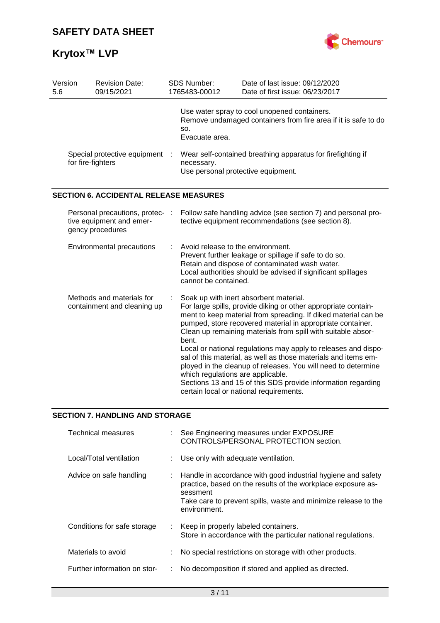

| Version<br>5.6                                                                  | <b>Revision Date:</b><br>09/15/2021           |  | SDS Number:<br>1765483-00012                                                                                                                                                                                                                                                                                                                                                                                                                                                                                                                                                                                                                                           | Date of last issue: 09/12/2020<br>Date of first issue: 06/23/2017                                              |  |  |  |
|---------------------------------------------------------------------------------|-----------------------------------------------|--|------------------------------------------------------------------------------------------------------------------------------------------------------------------------------------------------------------------------------------------------------------------------------------------------------------------------------------------------------------------------------------------------------------------------------------------------------------------------------------------------------------------------------------------------------------------------------------------------------------------------------------------------------------------------|----------------------------------------------------------------------------------------------------------------|--|--|--|
|                                                                                 |                                               |  | SO.<br>Evacuate area.                                                                                                                                                                                                                                                                                                                                                                                                                                                                                                                                                                                                                                                  | Use water spray to cool unopened containers.<br>Remove undamaged containers from fire area if it is safe to do |  |  |  |
| Special protective equipment<br>for fire-fighters                               |                                               |  | Wear self-contained breathing apparatus for firefighting if<br>necessary.<br>Use personal protective equipment.                                                                                                                                                                                                                                                                                                                                                                                                                                                                                                                                                        |                                                                                                                |  |  |  |
|                                                                                 | <b>SECTION 6. ACCIDENTAL RELEASE MEASURES</b> |  |                                                                                                                                                                                                                                                                                                                                                                                                                                                                                                                                                                                                                                                                        |                                                                                                                |  |  |  |
| Personal precautions, protec- :<br>tive equipment and emer-<br>gency procedures |                                               |  | Follow safe handling advice (see section 7) and personal pro-<br>tective equipment recommendations (see section 8).                                                                                                                                                                                                                                                                                                                                                                                                                                                                                                                                                    |                                                                                                                |  |  |  |
| Environmental precautions                                                       |                                               |  | Avoid release to the environment.<br>Prevent further leakage or spillage if safe to do so.<br>Retain and dispose of contaminated wash water.<br>Local authorities should be advised if significant spillages<br>cannot be contained.                                                                                                                                                                                                                                                                                                                                                                                                                                   |                                                                                                                |  |  |  |
| Methods and materials for<br>containment and cleaning up                        |                                               |  | Soak up with inert absorbent material.<br>For large spills, provide diking or other appropriate contain-<br>ment to keep material from spreading. If diked material can be<br>pumped, store recovered material in appropriate container.<br>Clean up remaining materials from spill with suitable absor-<br>bent.<br>Local or national regulations may apply to releases and dispo-<br>sal of this material, as well as those materials and items em-<br>ployed in the cleanup of releases. You will need to determine<br>which regulations are applicable.<br>Sections 13 and 15 of this SDS provide information regarding<br>certain local or national requirements. |                                                                                                                |  |  |  |

## **SECTION 7. HANDLING AND STORAGE**

| Technical measures           |    | : See Engineering measures under EXPOSURE<br>CONTROLS/PERSONAL PROTECTION section.                                                                                                                                         |
|------------------------------|----|----------------------------------------------------------------------------------------------------------------------------------------------------------------------------------------------------------------------------|
| Local/Total ventilation      |    | Use only with adequate ventilation.                                                                                                                                                                                        |
| Advice on safe handling      |    | Handle in accordance with good industrial hygiene and safety<br>practice, based on the results of the workplace exposure as-<br>sessment<br>Take care to prevent spills, waste and minimize release to the<br>environment. |
| Conditions for safe storage  | ÷. | Keep in properly labeled containers.<br>Store in accordance with the particular national regulations.                                                                                                                      |
| Materials to avoid           | ÷. | No special restrictions on storage with other products.                                                                                                                                                                    |
| Further information on stor- |    | No decomposition if stored and applied as directed.                                                                                                                                                                        |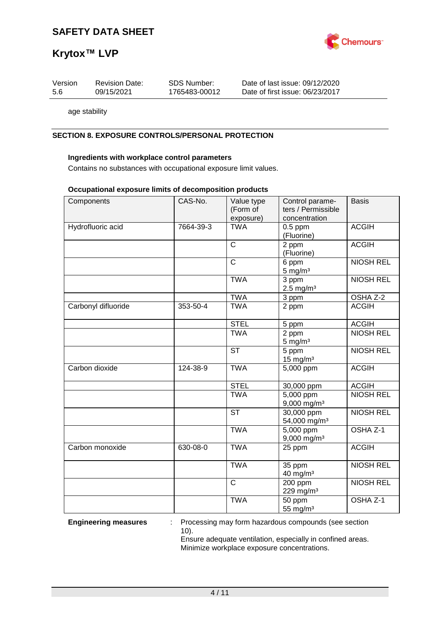

# **Krytox™ LVP**

| Version | <b>Revision Date:</b> | SDS Number:   | Date of last issue: 09/12/2020  |
|---------|-----------------------|---------------|---------------------------------|
| -5.6    | 09/15/2021            | 1765483-00012 | Date of first issue: 06/23/2017 |
|         |                       |               |                                 |

age stability

## **SECTION 8. EXPOSURE CONTROLS/PERSONAL PROTECTION**

## **Ingredients with workplace control parameters**

Contains no substances with occupational exposure limit values.

#### **Occupational exposure limits of decomposition products**

| Components          | CAS-No.   | Value type             | Control parame-           | <b>Basis</b>     |
|---------------------|-----------|------------------------|---------------------------|------------------|
|                     |           | (Form of               | ters / Permissible        |                  |
|                     |           | exposure)              | concentration             |                  |
| Hydrofluoric acid   | 7664-39-3 | <b>TWA</b>             | $0.5$ ppm                 | <b>ACGIH</b>     |
|                     |           |                        | (Fluorine)                |                  |
|                     |           | $\overline{C}$         | 2 ppm                     | <b>ACGIH</b>     |
|                     |           |                        | (Fluorine)                |                  |
|                     |           | $\overline{\text{c}}$  | 6 ppm                     | <b>NIOSH REL</b> |
|                     |           |                        | $5 \text{ mg/m}^3$        |                  |
|                     |           |                        |                           |                  |
|                     |           | <b>TWA</b>             | 3 ppm                     | <b>NIOSH REL</b> |
|                     |           |                        | $2.5$ mg/m <sup>3</sup>   |                  |
|                     |           | <b>TWA</b>             | 3 ppm                     | OSHA Z-2         |
| Carbonyl difluoride | 353-50-4  | <b>TWA</b>             | 2 ppm                     | <b>ACGIH</b>     |
|                     |           |                        |                           |                  |
|                     |           | <b>STEL</b>            | 5 ppm                     | <b>ACGIH</b>     |
|                     |           | <b>TWA</b>             | 2 ppm                     | <b>NIOSH REL</b> |
|                     |           |                        | $5 \text{ mg/m}^3$        |                  |
|                     |           | $\overline{\text{ST}}$ | 5 ppm                     | <b>NIOSH REL</b> |
|                     |           |                        | $15 \text{ mg/m}^3$       |                  |
|                     |           |                        |                           |                  |
| Carbon dioxide      | 124-38-9  | <b>TWA</b>             | 5,000 ppm                 | <b>ACGIH</b>     |
|                     |           |                        |                           |                  |
|                     |           | <b>STEL</b>            | 30,000 ppm                | <b>ACGIH</b>     |
|                     |           | <b>TWA</b>             | 5,000 ppm                 | <b>NIOSH REL</b> |
|                     |           |                        | 9,000 mg/m <sup>3</sup>   |                  |
|                     |           | <b>ST</b>              | 30,000 ppm                | <b>NIOSH REL</b> |
|                     |           |                        | 54,000 mg/m <sup>3</sup>  |                  |
|                     |           | <b>TWA</b>             | 5,000 ppm                 | OSHA Z-1         |
|                     |           |                        | $9,000$ mg/m <sup>3</sup> |                  |
| Carbon monoxide     | 630-08-0  | <b>TWA</b>             | 25 ppm                    | <b>ACGIH</b>     |
|                     |           |                        |                           |                  |
|                     |           | <b>TWA</b>             |                           | <b>NIOSH REL</b> |
|                     |           |                        | 35 ppm                    |                  |
|                     |           |                        | $40$ mg/m <sup>3</sup>    |                  |
|                     |           | $\mathsf{C}$           | 200 ppm                   | <b>NIOSH REL</b> |
|                     |           |                        | 229 mg/m <sup>3</sup>     |                  |
|                     |           | <b>TWA</b>             | 50 ppm                    | OSHA Z-1         |
|                     |           |                        | 55 mg/m <sup>3</sup>      |                  |

**Engineering measures** : Processing may form hazardous compounds (see section 10).

Ensure adequate ventilation, especially in confined areas. Minimize workplace exposure concentrations.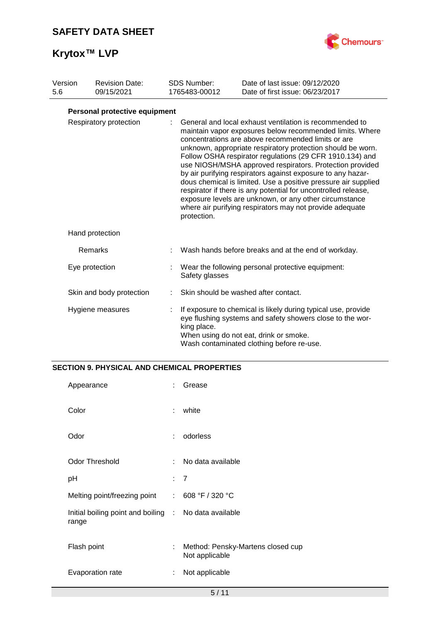# **Krytox™ LVP**



| Version<br>5.6         | <b>Revision Date:</b><br>09/15/2021 |  | <b>SDS Number:</b><br>1765483-00012                                                                                                                                                                                                                                                                                                                                                                                                                                                                                                                                                                                                                                                                      | Date of last issue: 09/12/2020<br>Date of first issue: 06/23/2017                                                                                                                                                 |  |  |
|------------------------|-------------------------------------|--|----------------------------------------------------------------------------------------------------------------------------------------------------------------------------------------------------------------------------------------------------------------------------------------------------------------------------------------------------------------------------------------------------------------------------------------------------------------------------------------------------------------------------------------------------------------------------------------------------------------------------------------------------------------------------------------------------------|-------------------------------------------------------------------------------------------------------------------------------------------------------------------------------------------------------------------|--|--|
|                        | Personal protective equipment       |  |                                                                                                                                                                                                                                                                                                                                                                                                                                                                                                                                                                                                                                                                                                          |                                                                                                                                                                                                                   |  |  |
| Respiratory protection |                                     |  | General and local exhaust ventilation is recommended to<br>maintain vapor exposures below recommended limits. Where<br>concentrations are above recommended limits or are<br>unknown, appropriate respiratory protection should be worn.<br>Follow OSHA respirator regulations (29 CFR 1910.134) and<br>use NIOSH/MSHA approved respirators. Protection provided<br>by air purifying respirators against exposure to any hazar-<br>dous chemical is limited. Use a positive pressure air supplied<br>respirator if there is any potential for uncontrolled release,<br>exposure levels are unknown, or any other circumstance<br>where air purifying respirators may not provide adequate<br>protection. |                                                                                                                                                                                                                   |  |  |
|                        | Hand protection                     |  |                                                                                                                                                                                                                                                                                                                                                                                                                                                                                                                                                                                                                                                                                                          |                                                                                                                                                                                                                   |  |  |
|                        | Remarks                             |  |                                                                                                                                                                                                                                                                                                                                                                                                                                                                                                                                                                                                                                                                                                          | Wash hands before breaks and at the end of workday.                                                                                                                                                               |  |  |
|                        | Eye protection                      |  | Safety glasses                                                                                                                                                                                                                                                                                                                                                                                                                                                                                                                                                                                                                                                                                           | Wear the following personal protective equipment:                                                                                                                                                                 |  |  |
|                        | Skin and body protection            |  |                                                                                                                                                                                                                                                                                                                                                                                                                                                                                                                                                                                                                                                                                                          | Skin should be washed after contact.                                                                                                                                                                              |  |  |
|                        | Hygiene measures                    |  | king place.                                                                                                                                                                                                                                                                                                                                                                                                                                                                                                                                                                                                                                                                                              | If exposure to chemical is likely during typical use, provide<br>eye flushing systems and safety showers close to the wor-<br>When using do not eat, drink or smoke.<br>Wash contaminated clothing before re-use. |  |  |

## **SECTION 9. PHYSICAL AND CHEMICAL PROPERTIES**

| Appearance                                                     |    | Grease                                              |
|----------------------------------------------------------------|----|-----------------------------------------------------|
| Color                                                          | ÷  | white                                               |
| Odor                                                           | ÷  | odorless                                            |
| <b>Odor Threshold</b>                                          | ÷. | No data available                                   |
| рH                                                             |    | : 7                                                 |
| Melting point/freezing point : 608 °F / 320 °C                 |    |                                                     |
| Initial boiling point and boiling : No data available<br>range |    |                                                     |
| Flash point                                                    | ÷  | Method: Pensky-Martens closed cup<br>Not applicable |
| Evaporation rate                                               | ÷  | Not applicable                                      |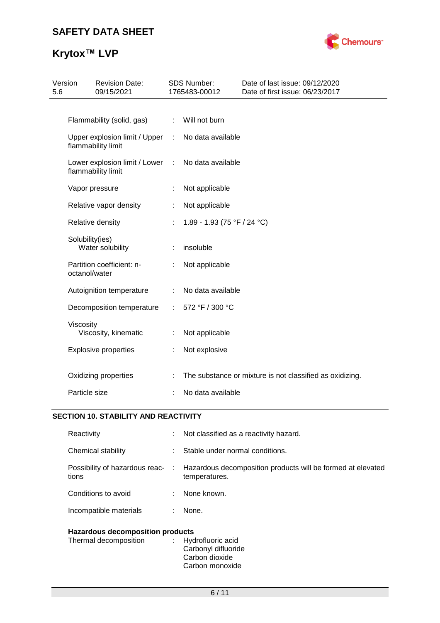# **Krytox™ LVP**



| 5.6 | Version                                             | <b>Revision Date:</b><br>09/15/2021                 |   | <b>SDS Number:</b><br>1765483-00012 | Date of last issue: 09/12/2020<br>Date of first issue: 06/23/2017 |
|-----|-----------------------------------------------------|-----------------------------------------------------|---|-------------------------------------|-------------------------------------------------------------------|
|     |                                                     |                                                     |   |                                     |                                                                   |
|     |                                                     | Flammability (solid, gas)                           | ÷ | Will not burn                       |                                                                   |
|     | Upper explosion limit / Upper<br>flammability limit |                                                     | ÷ | No data available                   |                                                                   |
|     |                                                     | Lower explosion limit / Lower<br>flammability limit | ÷ | No data available                   |                                                                   |
|     |                                                     | Vapor pressure                                      |   | Not applicable                      |                                                                   |
|     |                                                     | Relative vapor density                              |   | Not applicable                      |                                                                   |
|     |                                                     | Relative density                                    |   | 1.89 - 1.93 (75 °F / 24 °C)         |                                                                   |
|     | Solubility(ies)                                     | Water solubility                                    | ÷ | insoluble                           |                                                                   |
|     | octanol/water                                       | Partition coefficient: n-                           | ÷ | Not applicable                      |                                                                   |
|     |                                                     | Autoignition temperature                            |   | No data available                   |                                                                   |
|     |                                                     | Decomposition temperature                           | ÷ | 572 °F / 300 °C                     |                                                                   |
|     | Viscosity                                           | Viscosity, kinematic                                | ÷ | Not applicable                      |                                                                   |
|     |                                                     | <b>Explosive properties</b>                         | t | Not explosive                       |                                                                   |
|     |                                                     | Oxidizing properties                                |   |                                     | The substance or mixture is not classified as oxidizing.          |
|     | Particle size                                       |                                                     |   | No data available                   |                                                                   |

## **SECTION 10. STABILITY AND REACTIVITY**

| Reactivity                              |    | : Not classified as a reactivity hazard.                                     |
|-----------------------------------------|----|------------------------------------------------------------------------------|
| Chemical stability                      |    | Stable under normal conditions.                                              |
| Possibility of hazardous reac-<br>tions | ÷. | Hazardous decomposition products will be formed at elevated<br>temperatures. |
| Conditions to avoid                     | ÷. | None known.                                                                  |
| Incompatible materials                  |    | None.                                                                        |
|                                         |    |                                                                              |

# **Hazardous decomposition products**

| Thermal decomposition | : Hydrofluoric acid<br>Carbonyl difluoride |
|-----------------------|--------------------------------------------|
|                       | Carbon dioxide                             |
|                       | Carbon monoxide                            |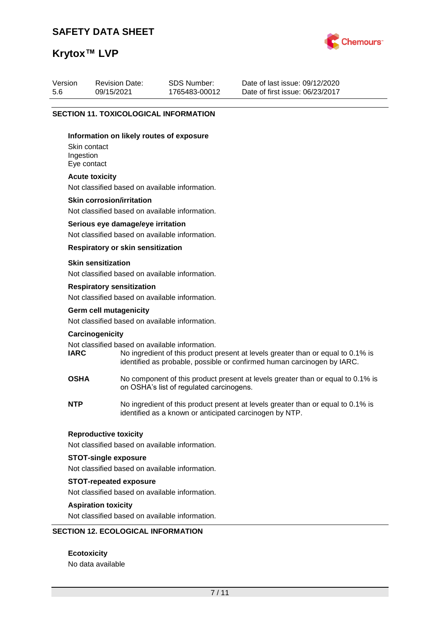# **Krytox™ LVP**



| Date of last issue: 09/12/2020<br>SDS Number:<br>Version<br><b>Revision Date:</b><br>09/15/2021<br>Date of first issue: 06/23/2017<br>5.6<br>1765483-00012 |  |
|------------------------------------------------------------------------------------------------------------------------------------------------------------|--|
|------------------------------------------------------------------------------------------------------------------------------------------------------------|--|

### **SECTION 11. TOXICOLOGICAL INFORMATION**

#### **Information on likely routes of exposure**

Skin contact Ingestion Eye contact

#### **Acute toxicity**

Not classified based on available information.

#### **Skin corrosion/irritation**

Not classified based on available information.

#### **Serious eye damage/eye irritation**

Not classified based on available information.

## **Respiratory or skin sensitization**

#### **Skin sensitization**

Not classified based on available information.

#### **Respiratory sensitization**

Not classified based on available information.

# **Germ cell mutagenicity**

Not classified based on available information.

#### **Carcinogenicity**

Not classified based on available information.<br> **IARC** No ingredient of this product to

- No ingredient of this product present at levels greater than or equal to 0.1% is identified as probable, possible or confirmed human carcinogen by IARC.
- **OSHA** No component of this product present at levels greater than or equal to 0.1% is on OSHA's list of regulated carcinogens.
- **NTP** No ingredient of this product present at levels greater than or equal to 0.1% is identified as a known or anticipated carcinogen by NTP.

#### **Reproductive toxicity**

Not classified based on available information.

## **STOT-single exposure**

Not classified based on available information.

#### **STOT-repeated exposure**

Not classified based on available information.

### **Aspiration toxicity**

Not classified based on available information.

## **SECTION 12. ECOLOGICAL INFORMATION**

**Ecotoxicity** No data available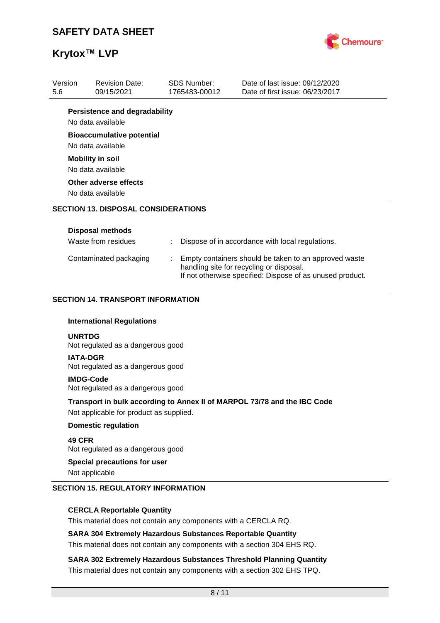

| Version<br>5.6 | <b>Revision Date:</b><br>09/15/2021                       |                                                       | <b>SDS Number:</b><br>1765483-00012                                                                                                                            | Date of last issue: 09/12/2020<br>Date of first issue: 06/23/2017        |  |  |
|----------------|-----------------------------------------------------------|-------------------------------------------------------|----------------------------------------------------------------------------------------------------------------------------------------------------------------|--------------------------------------------------------------------------|--|--|
|                | <b>Persistence and degradability</b><br>No data available |                                                       |                                                                                                                                                                |                                                                          |  |  |
|                | <b>Bioaccumulative potential</b><br>No data available     |                                                       |                                                                                                                                                                |                                                                          |  |  |
|                | <b>Mobility in soil</b><br>No data available              |                                                       |                                                                                                                                                                |                                                                          |  |  |
|                | Other adverse effects<br>No data available                |                                                       |                                                                                                                                                                |                                                                          |  |  |
|                | <b>SECTION 13. DISPOSAL CONSIDERATIONS</b>                |                                                       |                                                                                                                                                                |                                                                          |  |  |
|                | <b>Disposal methods</b>                                   |                                                       |                                                                                                                                                                |                                                                          |  |  |
|                | Waste from residues                                       |                                                       |                                                                                                                                                                | Dispose of in accordance with local regulations.                         |  |  |
|                | Contaminated packaging                                    |                                                       | Empty containers should be taken to an approved waste<br>handling site for recycling or disposal.<br>If not otherwise specified: Dispose of as unused product. |                                                                          |  |  |
|                | <b>SECTION 14. TRANSPORT INFORMATION</b>                  |                                                       |                                                                                                                                                                |                                                                          |  |  |
|                | <b>International Regulations</b>                          |                                                       |                                                                                                                                                                |                                                                          |  |  |
| <b>UNRTDG</b>  | Not regulated as a dangerous good                         |                                                       |                                                                                                                                                                |                                                                          |  |  |
|                | <b>IATA-DGR</b><br>Not regulated as a dangerous good      |                                                       |                                                                                                                                                                |                                                                          |  |  |
|                |                                                           | <b>IMDG-Code</b><br>Not regulated as a dangerous good |                                                                                                                                                                |                                                                          |  |  |
|                |                                                           |                                                       |                                                                                                                                                                |                                                                          |  |  |
|                | Not applicable for product as supplied.                   |                                                       |                                                                                                                                                                | Transport in bulk according to Annex II of MARPOL 73/78 and the IBC Code |  |  |
|                | <b>Domestic regulation</b>                                |                                                       |                                                                                                                                                                |                                                                          |  |  |
| 49 CFR         | Not regulated as a dangerous good                         |                                                       |                                                                                                                                                                |                                                                          |  |  |

## **CERCLA Reportable Quantity**

This material does not contain any components with a CERCLA RQ.

## **SARA 304 Extremely Hazardous Substances Reportable Quantity**

This material does not contain any components with a section 304 EHS RQ.

**SARA 302 Extremely Hazardous Substances Threshold Planning Quantity** This material does not contain any components with a section 302 EHS TPQ.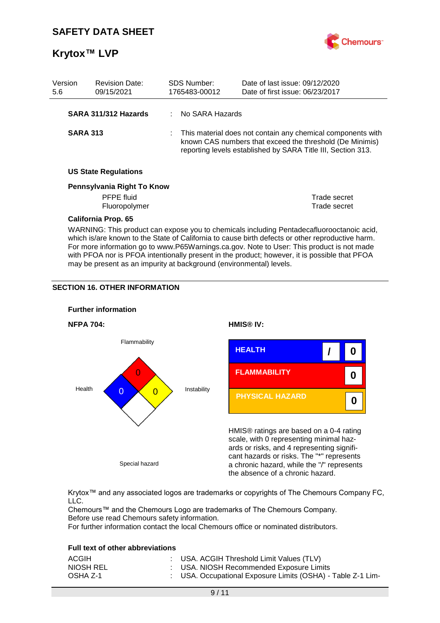

| Version<br>5.6  | <b>Revision Date:</b><br>09/15/2021                              | <b>SDS Number:</b><br>1765483-00012                                                                                                                                                       | Date of last issue: 09/12/2020<br>Date of first issue: 06/23/2017                        |  |
|-----------------|------------------------------------------------------------------|-------------------------------------------------------------------------------------------------------------------------------------------------------------------------------------------|------------------------------------------------------------------------------------------|--|
|                 | SARA 311/312 Hazards                                             | : No SARA Hazards                                                                                                                                                                         |                                                                                          |  |
| <b>SARA 313</b> |                                                                  | : This material does not contain any chemical components with<br>known CAS numbers that exceed the threshold (De Minimis)<br>reporting levels established by SARA Title III, Section 313. |                                                                                          |  |
|                 | <b>US State Regulations</b>                                      |                                                                                                                                                                                           |                                                                                          |  |
|                 | Pennsylvania Right To Know<br><b>PFPE</b> fluid<br>Fluoropolymer |                                                                                                                                                                                           | Trade secret<br>Trade secret                                                             |  |
|                 | <b>California Prop. 65</b>                                       |                                                                                                                                                                                           | WARNING: This product can expose you to chemicals including Pentadecafluorooctanoic acid |  |

ARNING: This product can expose you to chemicals including Pentadecafluorooctanoic acid, which is/are known to the State of California to cause birth defects or other reproductive harm. For more information go to www.P65Warnings.ca.gov. Note to User: This product is not made with PFOA nor is PFOA intentionally present in the product; however, it is possible that PFOA may be present as an impurity at background (environmental) levels.

## **SECTION 16. OTHER INFORMATION**



Krytox™ and any associated logos are trademarks or copyrights of The Chemours Company FC, LLC.

Chemours™ and the Chemours Logo are trademarks of The Chemours Company. Before use read Chemours safety information.

For further information contact the local Chemours office or nominated distributors.

### **Full text of other abbreviations**

| ACGIH     | : USA. ACGIH Threshold Limit Values (TLV)                   |
|-----------|-------------------------------------------------------------|
| NIOSH REL | : USA. NIOSH Recommended Exposure Limits                    |
| OSHA Z-1  | : USA. Occupational Exposure Limits (OSHA) - Table Z-1 Lim- |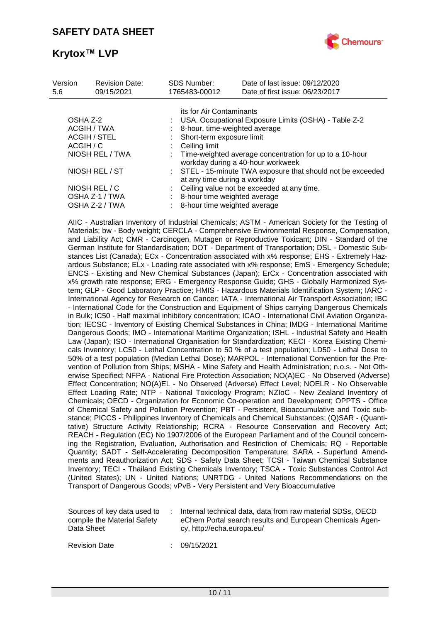

| Version<br>5.6  | <b>Revision Date:</b><br>09/15/2021 | <b>SDS Number:</b><br>1765483-00012 | Date of last issue: 09/12/2020<br>Date of first issue: 06/23/2017                            |  |  |  |  |
|-----------------|-------------------------------------|-------------------------------------|----------------------------------------------------------------------------------------------|--|--|--|--|
|                 |                                     |                                     | its for Air Contaminants                                                                     |  |  |  |  |
| OSHA Z-2        |                                     |                                     | USA. Occupational Exposure Limits (OSHA) - Table Z-2                                         |  |  |  |  |
| ACGIH / TWA     |                                     |                                     | 8-hour, time-weighted average                                                                |  |  |  |  |
| ACGIH / STEL    |                                     |                                     | Short-term exposure limit                                                                    |  |  |  |  |
| ACGIH / C       |                                     | Ceiling limit                       |                                                                                              |  |  |  |  |
| NIOSH REL / TWA |                                     |                                     | Time-weighted average concentration for up to a 10-hour<br>workday during a 40-hour workweek |  |  |  |  |
| NIOSH REL / ST  |                                     |                                     | : STEL - 15-minute TWA exposure that should not be exceeded<br>at any time during a workday  |  |  |  |  |
| NIOSH REL / C   |                                     |                                     | Ceiling value not be exceeded at any time.                                                   |  |  |  |  |
|                 | OSHA Z-1 / TWA                      |                                     | 8-hour time weighted average                                                                 |  |  |  |  |
|                 | OSHA Z-2 / TWA                      |                                     | 8-hour time weighted average                                                                 |  |  |  |  |

AIIC - Australian Inventory of Industrial Chemicals; ASTM - American Society for the Testing of Materials; bw - Body weight; CERCLA - Comprehensive Environmental Response, Compensation, and Liability Act; CMR - Carcinogen, Mutagen or Reproductive Toxicant; DIN - Standard of the German Institute for Standardisation; DOT - Department of Transportation; DSL - Domestic Substances List (Canada); ECx - Concentration associated with x% response; EHS - Extremely Hazardous Substance; ELx - Loading rate associated with x% response; EmS - Emergency Schedule; ENCS - Existing and New Chemical Substances (Japan); ErCx - Concentration associated with x% growth rate response; ERG - Emergency Response Guide; GHS - Globally Harmonized System; GLP - Good Laboratory Practice; HMIS - Hazardous Materials Identification System; IARC - International Agency for Research on Cancer; IATA - International Air Transport Association; IBC - International Code for the Construction and Equipment of Ships carrying Dangerous Chemicals in Bulk; IC50 - Half maximal inhibitory concentration; ICAO - International Civil Aviation Organization; IECSC - Inventory of Existing Chemical Substances in China; IMDG - International Maritime Dangerous Goods; IMO - International Maritime Organization; ISHL - Industrial Safety and Health Law (Japan); ISO - International Organisation for Standardization; KECI - Korea Existing Chemicals Inventory; LC50 - Lethal Concentration to 50 % of a test population; LD50 - Lethal Dose to 50% of a test population (Median Lethal Dose); MARPOL - International Convention for the Prevention of Pollution from Ships; MSHA - Mine Safety and Health Administration; n.o.s. - Not Otherwise Specified; NFPA - National Fire Protection Association; NO(A)EC - No Observed (Adverse) Effect Concentration; NO(A)EL - No Observed (Adverse) Effect Level; NOELR - No Observable Effect Loading Rate; NTP - National Toxicology Program; NZIoC - New Zealand Inventory of Chemicals; OECD - Organization for Economic Co-operation and Development; OPPTS - Office of Chemical Safety and Pollution Prevention; PBT - Persistent, Bioaccumulative and Toxic substance; PICCS - Philippines Inventory of Chemicals and Chemical Substances; (Q)SAR - (Quantitative) Structure Activity Relationship; RCRA - Resource Conservation and Recovery Act; REACH - Regulation (EC) No 1907/2006 of the European Parliament and of the Council concerning the Registration, Evaluation, Authorisation and Restriction of Chemicals; RQ - Reportable Quantity; SADT - Self-Accelerating Decomposition Temperature; SARA - Superfund Amendments and Reauthorization Act; SDS - Safety Data Sheet; TCSI - Taiwan Chemical Substance Inventory; TECI - Thailand Existing Chemicals Inventory; TSCA - Toxic Substances Control Act (United States); UN - United Nations; UNRTDG - United Nations Recommendations on the Transport of Dangerous Goods; vPvB - Very Persistent and Very Bioaccumulative

| Sources of key data used to | Internal technical data, data from raw material SDSs, OECD |
|-----------------------------|------------------------------------------------------------|
| compile the Material Safety | eChem Portal search results and European Chemicals Agen-   |
| Data Sheet                  | cy, http://echa.europa.eu/                                 |

Revision Date : 09/15/2021